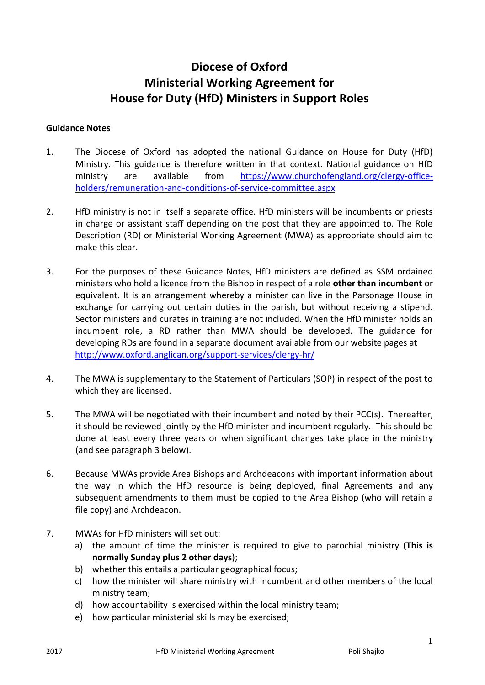# **Diocese of Oxford Ministerial Working Agreement for House for Duty (HfD) Ministers in Support Roles**

#### **Guidance Notes**

- 1. The Diocese of Oxford has adopted the national Guidance on House for Duty (HfD) Ministry. This guidance is therefore written in that context. National guidance on HfD ministry are available from [https://www.churchofengland.org/clergy-office](https://www.churchofengland.org/clergy-office-holders/remuneration-and-conditions-of-service-committee.aspx)[holders/remuneration-and-conditions-of-service-committee.aspx](https://www.churchofengland.org/clergy-office-holders/remuneration-and-conditions-of-service-committee.aspx)
- 2. HfD ministry is not in itself a separate office. HfD ministers will be incumbents or priests in charge or assistant staff depending on the post that they are appointed to. The Role Description (RD) or Ministerial Working Agreement (MWA) as appropriate should aim to make this clear.
- 3. For the purposes of these Guidance Notes, HfD ministers are defined as SSM ordained ministers who hold a licence from the Bishop in respect of a role **other than incumbent** or equivalent. It is an arrangement whereby a minister can live in the Parsonage House in exchange for carrying out certain duties in the parish, but without receiving a stipend. Sector ministers and curates in training are not included. When the HfD minister holds an incumbent role, a RD rather than MWA should be developed. The guidance for developing RDs are found in a separate document available from our website pages at <http://www.oxford.anglican.org/support-services/clergy-hr/>
- 4. The MWA is supplementary to the Statement of Particulars (SOP) in respect of the post to which they are licensed.
- 5. The MWA will be negotiated with their incumbent and noted by their PCC(s). Thereafter, it should be reviewed jointly by the HfD minister and incumbent regularly. This should be done at least every three years or when significant changes take place in the ministry (and see paragraph 3 below).
- 6. Because MWAs provide Area Bishops and Archdeacons with important information about the way in which the HfD resource is being deployed, final Agreements and any subsequent amendments to them must be copied to the Area Bishop (who will retain a file copy) and Archdeacon.
- 7. MWAs for HfD ministers will set out:
	- a) the amount of time the minister is required to give to parochial ministry **(This is normally Sunday plus 2 other days**);
	- b) whether this entails a particular geographical focus;
	- c) how the minister will share ministry with incumbent and other members of the local ministry team;
	- d) how accountability is exercised within the local ministry team;
	- e) how particular ministerial skills may be exercised;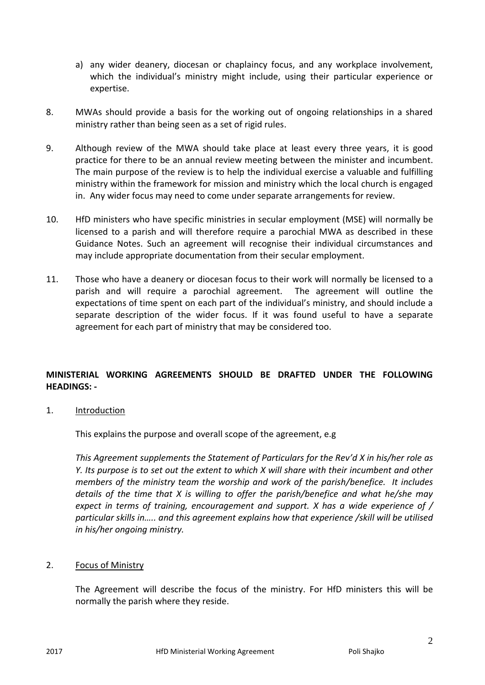- a) any wider deanery, diocesan or chaplaincy focus, and any workplace involvement, which the individual's ministry might include, using their particular experience or expertise.
- 8. MWAs should provide a basis for the working out of ongoing relationships in a shared ministry rather than being seen as a set of rigid rules.
- 9. Although review of the MWA should take place at least every three years, it is good practice for there to be an annual review meeting between the minister and incumbent. The main purpose of the review is to help the individual exercise a valuable and fulfilling ministry within the framework for mission and ministry which the local church is engaged in. Any wider focus may need to come under separate arrangements for review.
- 10. HfD ministers who have specific ministries in secular employment (MSE) will normally be licensed to a parish and will therefore require a parochial MWA as described in these Guidance Notes. Such an agreement will recognise their individual circumstances and may include appropriate documentation from their secular employment.
- 11. Those who have a deanery or diocesan focus to their work will normally be licensed to a parish and will require a parochial agreement. The agreement will outline the expectations of time spent on each part of the individual's ministry, and should include a separate description of the wider focus. If it was found useful to have a separate agreement for each part of ministry that may be considered too.

# **MINISTERIAL WORKING AGREEMENTS SHOULD BE DRAFTED UNDER THE FOLLOWING HEADINGS: -**

1. Introduction

This explains the purpose and overall scope of the agreement, e.g

*This Agreement supplements the Statement of Particulars for the Rev'd X in his/her role as Y. Its purpose is to set out the extent to which X will share with their incumbent and other members of the ministry team the worship and work of the parish/benefice. It includes details of the time that X is willing to offer the parish/benefice and what he/she may expect in terms of training, encouragement and support. X has a wide experience of / particular skills in….. and this agreement explains how that experience /skill will be utilised in his/her ongoing ministry.*

## 2. Focus of Ministry

The Agreement will describe the focus of the ministry. For HfD ministers this will be normally the parish where they reside.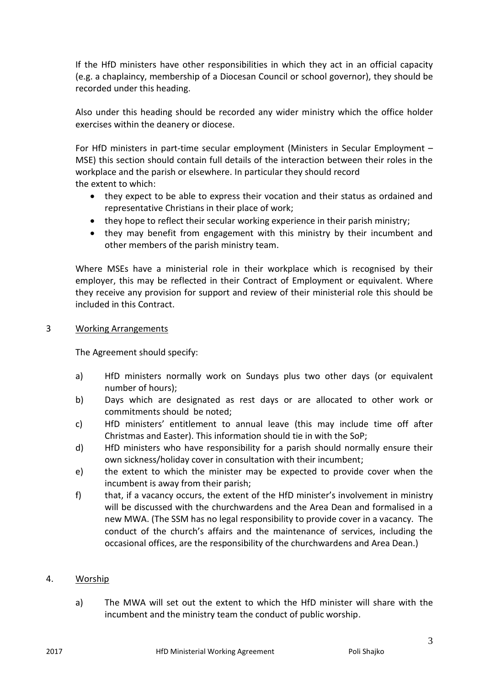If the HfD ministers have other responsibilities in which they act in an official capacity (e.g. a chaplaincy, membership of a Diocesan Council or school governor), they should be recorded under this heading.

Also under this heading should be recorded any wider ministry which the office holder exercises within the deanery or diocese.

For HfD ministers in part-time secular employment (Ministers in Secular Employment – MSE) this section should contain full details of the interaction between their roles in the workplace and the parish or elsewhere. In particular they should record the extent to which:

- they expect to be able to express their vocation and their status as ordained and representative Christians in their place of work;
- they hope to reflect their secular working experience in their parish ministry;
- they may benefit from engagement with this ministry by their incumbent and other members of the parish ministry team.

Where MSEs have a ministerial role in their workplace which is recognised by their employer, this may be reflected in their Contract of Employment or equivalent. Where they receive any provision for support and review of their ministerial role this should be included in this Contract.

## 3 Working Arrangements

The Agreement should specify:

- a) HfD ministers normally work on Sundays plus two other days (or equivalent number of hours);
- b) Days which are designated as rest days or are allocated to other work or commitments should be noted;
- c) HfD ministers' entitlement to annual leave (this may include time off after Christmas and Easter). This information should tie in with the SoP;
- d) HfD ministers who have responsibility for a parish should normally ensure their own sickness/holiday cover in consultation with their incumbent;
- e) the extent to which the minister may be expected to provide cover when the incumbent is away from their parish;
- f) that, if a vacancy occurs, the extent of the HfD minister's involvement in ministry will be discussed with the churchwardens and the Area Dean and formalised in a new MWA. (The SSM has no legal responsibility to provide cover in a vacancy. The conduct of the church's affairs and the maintenance of services, including the occasional offices, are the responsibility of the churchwardens and Area Dean.)

# 4. Worship

a) The MWA will set out the extent to which the HfD minister will share with the incumbent and the ministry team the conduct of public worship.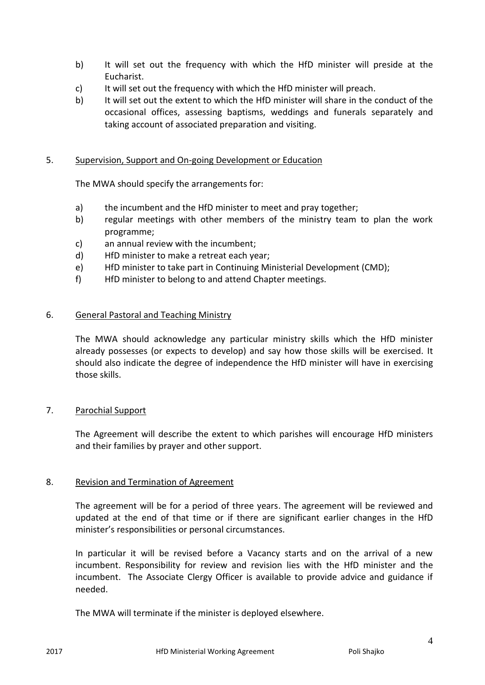- b) It will set out the frequency with which the HfD minister will preside at the Eucharist.
- c) It will set out the frequency with which the HfD minister will preach.
- b) It will set out the extent to which the HfD minister will share in the conduct of the occasional offices, assessing baptisms, weddings and funerals separately and taking account of associated preparation and visiting.

## 5. Supervision, Support and On-going Development or Education

The MWA should specify the arrangements for:

- a) the incumbent and the HfD minister to meet and pray together;
- b) regular meetings with other members of the ministry team to plan the work programme;
- c) an annual review with the incumbent;
- d) HfD minister to make a retreat each year;
- e) HfD minister to take part in Continuing Ministerial Development (CMD);
- f) HfD minister to belong to and attend Chapter meetings.

#### 6. General Pastoral and Teaching Ministry

The MWA should acknowledge any particular ministry skills which the HfD minister already possesses (or expects to develop) and say how those skills will be exercised. It should also indicate the degree of independence the HfD minister will have in exercising those skills.

#### 7. Parochial Support

The Agreement will describe the extent to which parishes will encourage HfD ministers and their families by prayer and other support.

#### 8. Revision and Termination of Agreement

The agreement will be for a period of three years. The agreement will be reviewed and updated at the end of that time or if there are significant earlier changes in the HfD minister's responsibilities or personal circumstances.

In particular it will be revised before a Vacancy starts and on the arrival of a new incumbent. Responsibility for review and revision lies with the HfD minister and the incumbent. The Associate Clergy Officer is available to provide advice and guidance if needed.

The MWA will terminate if the minister is deployed elsewhere.